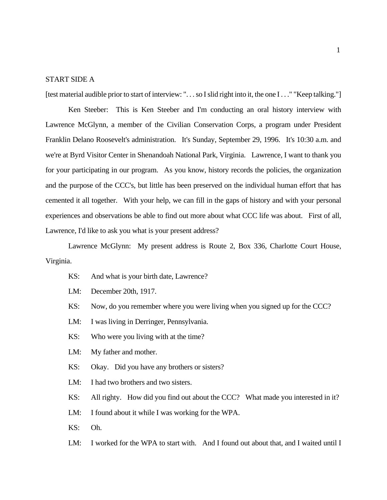### START SIDE A

[test material audible prior to start of interview: "... so I slid right into it, the one I ..." "Keep talking."]

Ken Steeber: This is Ken Steeber and I'm conducting an oral history interview with Lawrence McGlynn, a member of the Civilian Conservation Corps, a program under President Franklin Delano Roosevelt's administration. It's Sunday, September 29, 1996. It's 10:30 a.m. and we're at Byrd Visitor Center in Shenandoah National Park, Virginia. Lawrence, I want to thank you for your participating in our program. As you know, history records the policies, the organization and the purpose of the CCC's, but little has been preserved on the individual human effort that has cemented it all together. With your help, we can fill in the gaps of history and with your personal experiences and observations be able to find out more about what CCC life was about. First of all, Lawrence, I'd like to ask you what is your present address?

Lawrence McGlynn: My present address is Route 2, Box 336, Charlotte Court House, Virginia.

- KS: And what is your birth date, Lawrence?
- LM: December 20th, 1917.
- KS: Now, do you remember where you were living when you signed up for the CCC?
- LM: I was living in Derringer, Pennsylvania.
- KS: Who were you living with at the time?
- LM: My father and mother.
- KS: Okay. Did you have any brothers or sisters?
- LM: I had two brothers and two sisters.
- KS: All righty. How did you find out about the CCC? What made you interested in it?
- LM: I found about it while I was working for the WPA.
- KS: Oh.
- LM: I worked for the WPA to start with. And I found out about that, and I waited until I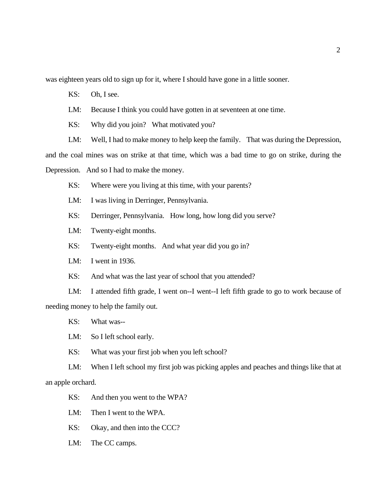was eighteen years old to sign up for it, where I should have gone in a little sooner.

KS: Oh, I see.

LM: Because I think you could have gotten in at seventeen at one time.

KS: Why did you join? What motivated you?

LM: Well, I had to make money to help keep the family. That was during the Depression, and the coal mines was on strike at that time, which was a bad time to go on strike, during the

Depression. And so I had to make the money.

KS: Where were you living at this time, with your parents?

LM: I was living in Derringer, Pennsylvania.

KS: Derringer, Pennsylvania. How long, how long did you serve?

LM: Twenty-eight months.

KS: Twenty-eight months. And what year did you go in?

LM: I went in 1936.

KS: And what was the last year of school that you attended?

LM: I attended fifth grade, I went on--I went--I left fifth grade to go to work because of needing money to help the family out.

KS: What was--

LM: So I left school early.

KS: What was your first job when you left school?

LM: When I left school my first job was picking apples and peaches and things like that at an apple orchard.

KS: And then you went to the WPA?

LM: Then I went to the WPA.

KS: Okay, and then into the CCC?

LM: The CC camps.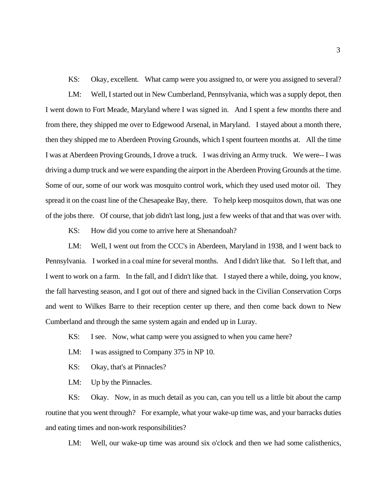KS: Okay, excellent. What camp were you assigned to, or were you assigned to several?

LM: Well, I started out in New Cumberland, Pennsylvania, which was a supply depot, then I went down to Fort Meade, Maryland where I was signed in. And I spent a few months there and from there, they shipped me over to Edgewood Arsenal, in Maryland. I stayed about a month there, then they shipped me to Aberdeen Proving Grounds, which I spent fourteen months at. All the time I was at Aberdeen Proving Grounds, I drove a truck. I was driving an Army truck. We were-- I was driving a dump truck and we were expanding the airport in the Aberdeen Proving Grounds at the time. Some of our, some of our work was mosquito control work, which they used used motor oil. They spread it on the coast line of the Chesapeake Bay, there. To help keep mosquitos down, that was one of the jobs there. Of course, that job didn't last long, just a few weeks of that and that was over with.

KS: How did you come to arrive here at Shenandoah?

LM: Well, I went out from the CCC's in Aberdeen, Maryland in 1938, and I went back to Pennsylvania. I worked in a coal mine for several months. And I didn't like that. So I left that, and I went to work on a farm. In the fall, and I didn't like that. I stayed there a while, doing, you know, the fall harvesting season, and I got out of there and signed back in the Civilian Conservation Corps and went to Wilkes Barre to their reception center up there, and then come back down to New Cumberland and through the same system again and ended up in Luray.

KS: I see. Now, what camp were you assigned to when you came here?

LM: I was assigned to Company 375 in NP 10.

KS: Okay, that's at Pinnacles?

LM: Up by the Pinnacles.

KS: Okay. Now, in as much detail as you can, can you tell us a little bit about the camp routine that you went through? For example, what your wake-up time was, and your barracks duties and eating times and non-work responsibilities?

LM: Well, our wake-up time was around six o'clock and then we had some calisthenics,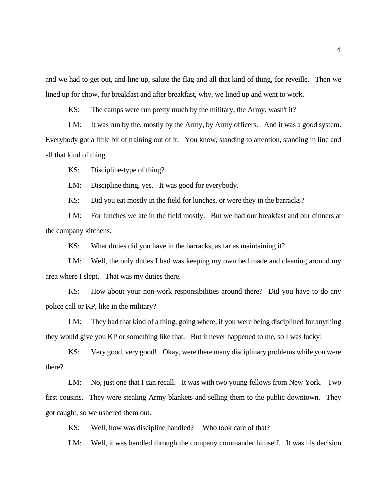and we had to get out, and line up, salute the flag and all that kind of thing, for reveille. Then we lined up for chow, for breakfast and after breakfast, why, we lined up and went to work.

KS: The camps were run pretty much by the military, the Army, wasn't it?

LM: It was run by the, mostly by the Army, by Army officers. And it was a good system. Everybody got a little bit of training out of it. You know, standing to attention, standing in line and all that kind of thing.

KS: Discipline-type of thing?

LM: Discipline thing, yes. It was good for everybody.

KS: Did you eat mostly in the field for lunches, or were they in the barracks?

LM: For lunches we ate in the field mostly. But we had our breakfast and our dinners at the company kitchens.

KS: What duties did you have in the barracks, as far as maintaining it?

LM: Well, the only duties I had was keeping my own bed made and cleaning around my area where I slept. That was my duties there.

KS: How about your non-work responsibilities around there? Did you have to do any police call or KP, like in the military?

LM: They had that kind of a thing, going where, if you were being disciplined for anything they would give you KP or something like that. But it never happened to me, so I was lucky!

KS: Very good, very good! Okay, were there many disciplinary problems while you were there?

LM: No, just one that I can recall. It was with two young fellows from New York. Two first cousins. They were stealing Army blankets and selling them to the public downtown. They got caught, so we ushered them out.

KS: Well, how was discipline handled? Who took care of that?

LM: Well, it was handled through the company commander himself. It was his decision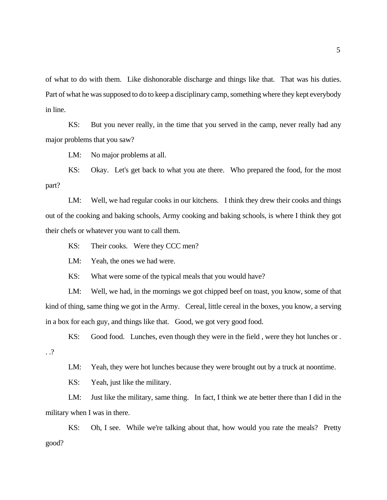of what to do with them. Like dishonorable discharge and things like that. That was his duties. Part of what he was supposed to do to keep a disciplinary camp, something where they kept everybody in line.

KS: But you never really, in the time that you served in the camp, never really had any major problems that you saw?

LM: No major problems at all.

KS: Okay. Let's get back to what you ate there. Who prepared the food, for the most part?

LM: Well, we had regular cooks in our kitchens. I think they drew their cooks and things out of the cooking and baking schools, Army cooking and baking schools, is where I think they got their chefs or whatever you want to call them.

KS: Their cooks. Were they CCC men?

LM: Yeah, the ones we had were.

KS: What were some of the typical meals that you would have?

LM: Well, we had, in the mornings we got chipped beef on toast, you know, some of that kind of thing, same thing we got in the Army. Cereal, little cereal in the boxes, you know, a serving in a box for each guy, and things like that. Good, we got very good food.

KS: Good food. Lunches, even though they were in the field , were they hot lunches or .

. .?

LM: Yeah, they were hot lunches because they were brought out by a truck at noontime.

KS: Yeah, just like the military.

LM: Just like the military, same thing. In fact, I think we ate better there than I did in the military when I was in there.

KS: Oh, I see. While we're talking about that, how would you rate the meals? Pretty good?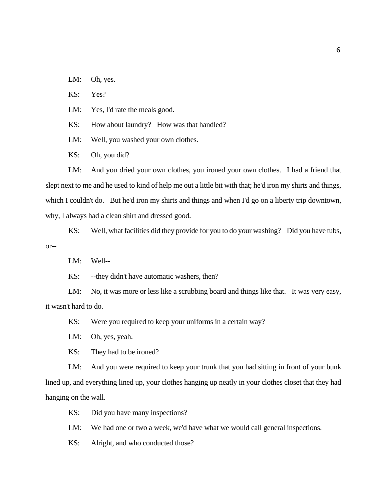LM: Oh, yes.

KS: Yes?

LM: Yes, I'd rate the meals good.

KS: How about laundry? How was that handled?

LM: Well, you washed your own clothes.

KS: Oh, you did?

LM: And you dried your own clothes, you ironed your own clothes. I had a friend that slept next to me and he used to kind of help me out a little bit with that; he'd iron my shirts and things, which I couldn't do. But he'd iron my shirts and things and when I'd go on a liberty trip downtown, why, I always had a clean shirt and dressed good.

KS: Well, what facilities did they provide for you to do your washing? Did you have tubs, or--

LM: Well--

KS: --they didn't have automatic washers, then?

LM: No, it was more or less like a scrubbing board and things like that. It was very easy, it wasn't hard to do.

KS: Were you required to keep your uniforms in a certain way?

LM: Oh, yes, yeah.

KS: They had to be ironed?

LM: And you were required to keep your trunk that you had sitting in front of your bunk lined up, and everything lined up, your clothes hanging up neatly in your clothes closet that they had hanging on the wall.

KS: Did you have many inspections?

LM: We had one or two a week, we'd have what we would call general inspections.

KS: Alright, and who conducted those?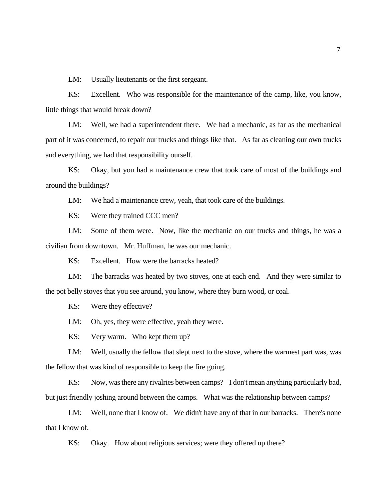LM: Usually lieutenants or the first sergeant.

KS: Excellent. Who was responsible for the maintenance of the camp, like, you know, little things that would break down?

LM: Well, we had a superintendent there. We had a mechanic, as far as the mechanical part of it was concerned, to repair our trucks and things like that. As far as cleaning our own trucks and everything, we had that responsibility ourself.

KS: Okay, but you had a maintenance crew that took care of most of the buildings and around the buildings?

LM: We had a maintenance crew, yeah, that took care of the buildings.

KS: Were they trained CCC men?

LM: Some of them were. Now, like the mechanic on our trucks and things, he was a civilian from downtown. Mr. Huffman, he was our mechanic.

KS: Excellent. How were the barracks heated?

LM: The barracks was heated by two stoves, one at each end. And they were similar to the pot belly stoves that you see around, you know, where they burn wood, or coal.

KS: Were they effective?

LM: Oh, yes, they were effective, yeah they were.

KS: Very warm. Who kept them up?

LM: Well, usually the fellow that slept next to the stove, where the warmest part was, was the fellow that was kind of responsible to keep the fire going.

KS: Now, was there any rivalries between camps? I don't mean anything particularly bad, but just friendly joshing around between the camps. What was the relationship between camps?

LM: Well, none that I know of. We didn't have any of that in our barracks. There's none that I know of.

KS: Okay. How about religious services; were they offered up there?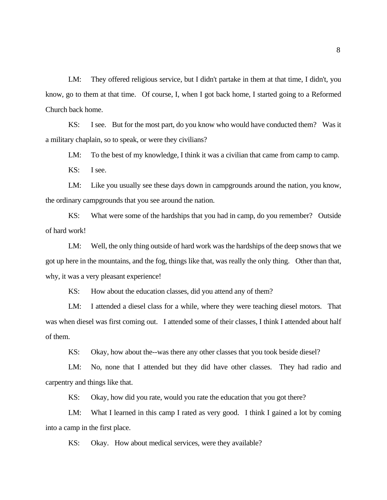LM: They offered religious service, but I didn't partake in them at that time, I didn't, you know, go to them at that time. Of course, I, when I got back home, I started going to a Reformed Church back home.

KS: I see. But for the most part, do you know who would have conducted them? Was it a military chaplain, so to speak, or were they civilians?

LM: To the best of my knowledge, I think it was a civilian that came from camp to camp.

KS: I see.

LM: Like you usually see these days down in campgrounds around the nation, you know, the ordinary campgrounds that you see around the nation.

KS: What were some of the hardships that you had in camp, do you remember? Outside of hard work!

LM: Well, the only thing outside of hard work was the hardships of the deep snows that we got up here in the mountains, and the fog, things like that, was really the only thing. Other than that, why, it was a very pleasant experience!

KS: How about the education classes, did you attend any of them?

LM: I attended a diesel class for a while, where they were teaching diesel motors. That was when diesel was first coming out. I attended some of their classes, I think I attended about half of them.

KS: Okay, how about the--was there any other classes that you took beside diesel?

LM: No, none that I attended but they did have other classes. They had radio and carpentry and things like that.

KS: Okay, how did you rate, would you rate the education that you got there?

LM: What I learned in this camp I rated as very good. I think I gained a lot by coming into a camp in the first place.

KS: Okay. How about medical services, were they available?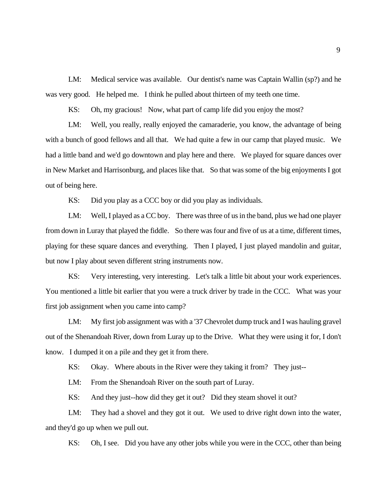LM: Medical service was available. Our dentist's name was Captain Wallin (sp?) and he was very good. He helped me. I think he pulled about thirteen of my teeth one time.

KS: Oh, my gracious! Now, what part of camp life did you enjoy the most?

LM: Well, you really, really enjoyed the camaraderie, you know, the advantage of being with a bunch of good fellows and all that. We had quite a few in our camp that played music. We had a little band and we'd go downtown and play here and there. We played for square dances over in New Market and Harrisonburg, and places like that. So that was some of the big enjoyments I got out of being here.

KS: Did you play as a CCC boy or did you play as individuals.

LM: Well, I played as a CC boy. There was three of us in the band, plus we had one player from down in Luray that played the fiddle. So there was four and five of us at a time, different times, playing for these square dances and everything. Then I played, I just played mandolin and guitar, but now I play about seven different string instruments now.

KS: Very interesting, very interesting. Let's talk a little bit about your work experiences. You mentioned a little bit earlier that you were a truck driver by trade in the CCC. What was your first job assignment when you came into camp?

LM: My first job assignment was with a '37 Chevrolet dump truck and I was hauling gravel out of the Shenandoah River, down from Luray up to the Drive. What they were using it for, I don't know. I dumped it on a pile and they get it from there.

KS: Okay. Where abouts in the River were they taking it from? They just--

LM: From the Shenandoah River on the south part of Luray.

KS: And they just--how did they get it out? Did they steam shovel it out?

LM: They had a shovel and they got it out. We used to drive right down into the water, and they'd go up when we pull out.

KS: Oh, I see. Did you have any other jobs while you were in the CCC, other than being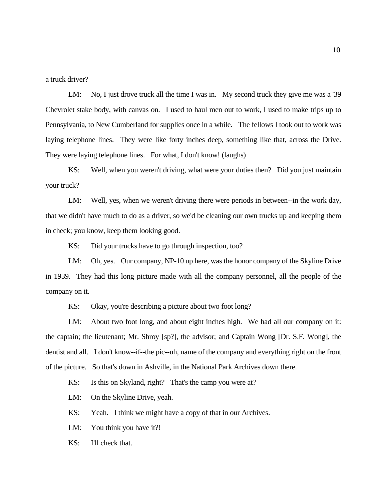a truck driver?

LM: No, I just drove truck all the time I was in. My second truck they give me was a '39 Chevrolet stake body, with canvas on. I used to haul men out to work, I used to make trips up to Pennsylvania, to New Cumberland for supplies once in a while. The fellows I took out to work was laying telephone lines. They were like forty inches deep, something like that, across the Drive. They were laying telephone lines. For what, I don't know! (laughs)

KS: Well, when you weren't driving, what were your duties then? Did you just maintain your truck?

LM: Well, yes, when we weren't driving there were periods in between--in the work day, that we didn't have much to do as a driver, so we'd be cleaning our own trucks up and keeping them in check; you know, keep them looking good.

KS: Did your trucks have to go through inspection, too?

LM: Oh, yes. Our company, NP-10 up here, was the honor company of the Skyline Drive in 1939. They had this long picture made with all the company personnel, all the people of the company on it.

KS: Okay, you're describing a picture about two foot long?

LM: About two foot long, and about eight inches high. We had all our company on it: the captain; the lieutenant; Mr. Shroy [sp?], the advisor; and Captain Wong [Dr. S.F. Wong], the dentist and all. I don't know--if--the pic--uh, name of the company and everything right on the front of the picture. So that's down in Ashville, in the National Park Archives down there.

KS: Is this on Skyland, right? That's the camp you were at?

LM: On the Skyline Drive, yeah.

KS: Yeah. I think we might have a copy of that in our Archives.

LM: You think you have it?!

KS: I'll check that.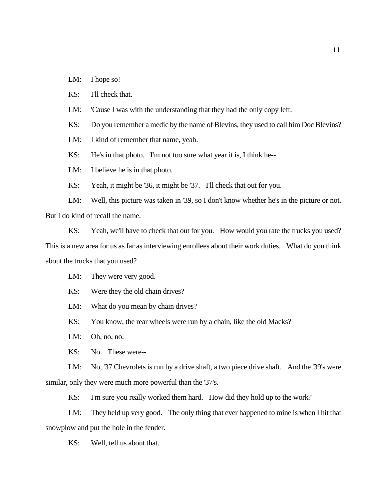LM: I hope so!

KS: I'll check that.

LM: 'Cause I was with the understanding that they had the only copy left.

KS: Do you remember a medic by the name of Blevins, they used to call him Doc Blevins?

LM: I kind of remember that name, yeah.

KS: He's in that photo. I'm not too sure what year it is, I think he--

LM: I believe he is in that photo.

KS: Yeah, it might be '36, it might be '37. I'll check that out for you.

LM: Well, this picture was taken in '39, so I don't know whether he's in the picture or not. But I do kind of recall the name.

KS: Yeah, we'll have to check that out for you. How would you rate the trucks you used? This is a new area for us as far as interviewing enrollees about their work duties. What do you think about the trucks that you used?

LM: They were very good.

KS: Were they the old chain drives?

LM: What do you mean by chain drives?

KS: You know, the rear wheels were run by a chain, like the old Macks?

LM: Oh, no, no.

KS: No. These were--

LM: No, '37 Chevrolets is run by a drive shaft, a two piece drive shaft. And the '39's were similar, only they were much more powerful than the '37's.

KS: I'm sure you really worked them hard. How did they hold up to the work?

LM: They held up very good. The only thing that ever happened to mine is when I hit that snowplow and put the hole in the fender.

KS: Well, tell us about that.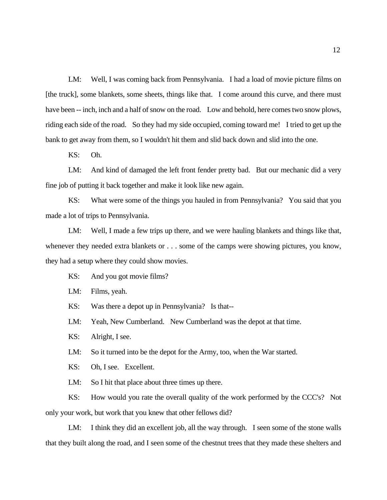LM: Well, I was coming back from Pennsylvania. I had a load of movie picture films on [the truck], some blankets, some sheets, things like that. I come around this curve, and there must have been -- inch, inch and a half of snow on the road. Low and behold, here comes two snow plows, riding each side of the road. So they had my side occupied, coming toward me! I tried to get up the bank to get away from them, so I wouldn't hit them and slid back down and slid into the one.

KS: Oh.

LM: And kind of damaged the left front fender pretty bad. But our mechanic did a very fine job of putting it back together and make it look like new again.

KS: What were some of the things you hauled in from Pennsylvania? You said that you made a lot of trips to Pennsylvania.

LM: Well, I made a few trips up there, and we were hauling blankets and things like that, whenever they needed extra blankets or . . . some of the camps were showing pictures, you know, they had a setup where they could show movies.

KS: And you got movie films?

LM: Films, yeah.

KS: Was there a depot up in Pennsylvania? Is that--

LM: Yeah, New Cumberland. New Cumberland was the depot at that time.

KS: Alright, I see.

LM: So it turned into be the depot for the Army, too, when the War started.

KS: Oh, I see. Excellent.

LM: So I hit that place about three times up there.

KS: How would you rate the overall quality of the work performed by the CCC's? Not only your work, but work that you knew that other fellows did?

LM: I think they did an excellent job, all the way through. I seen some of the stone walls that they built along the road, and I seen some of the chestnut trees that they made these shelters and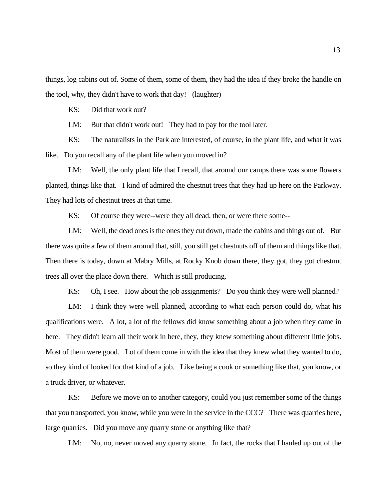things, log cabins out of. Some of them, some of them, they had the idea if they broke the handle on the tool, why, they didn't have to work that day! (laughter)

KS: Did that work out?

LM: But that didn't work out! They had to pay for the tool later.

KS: The naturalists in the Park are interested, of course, in the plant life, and what it was like. Do you recall any of the plant life when you moved in?

LM: Well, the only plant life that I recall, that around our camps there was some flowers planted, things like that. I kind of admired the chestnut trees that they had up here on the Parkway. They had lots of chestnut trees at that time.

KS: Of course they were--were they all dead, then, or were there some--

LM: Well, the dead ones is the ones they cut down, made the cabins and things out of. But there was quite a few of them around that, still, you still get chestnuts off of them and things like that. Then there is today, down at Mabry Mills, at Rocky Knob down there, they got, they got chestnut trees all over the place down there. Which is still producing.

KS: Oh, I see. How about the job assignments? Do you think they were well planned?

LM: I think they were well planned, according to what each person could do, what his qualifications were. A lot, a lot of the fellows did know something about a job when they came in here. They didn't learn all their work in here, they, they knew something about different little jobs. Most of them were good. Lot of them come in with the idea that they knew what they wanted to do, so they kind of looked for that kind of a job. Like being a cook or something like that, you know, or a truck driver, or whatever.

KS: Before we move on to another category, could you just remember some of the things that you transported, you know, while you were in the service in the CCC? There was quarries here, large quarries. Did you move any quarry stone or anything like that?

LM: No, no, never moved any quarry stone. In fact, the rocks that I hauled up out of the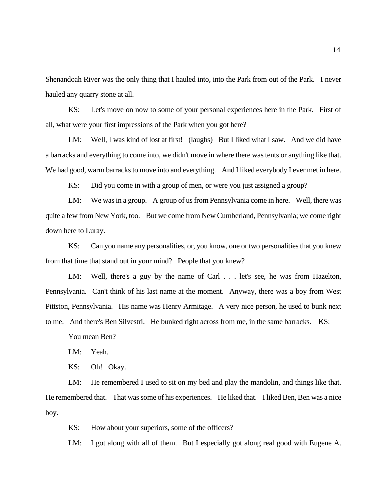Shenandoah River was the only thing that I hauled into, into the Park from out of the Park. I never hauled any quarry stone at all.

KS: Let's move on now to some of your personal experiences here in the Park. First of all, what were your first impressions of the Park when you got here?

LM: Well, I was kind of lost at first! (laughs) But I liked what I saw. And we did have a barracks and everything to come into, we didn't move in where there was tents or anything like that. We had good, warm barracks to move into and everything. And I liked everybody I ever met in here.

KS: Did you come in with a group of men, or were you just assigned a group?

LM: We was in a group. A group of us from Pennsylvania come in here. Well, there was quite a few from New York, too. But we come from New Cumberland, Pennsylvania; we come right down here to Luray.

KS: Can you name any personalities, or, you know, one or two personalities that you knew from that time that stand out in your mind? People that you knew?

LM: Well, there's a guy by the name of Carl . . . let's see, he was from Hazelton, Pennsylvania. Can't think of his last name at the moment. Anyway, there was a boy from West Pittston, Pennsylvania. His name was Henry Armitage. A very nice person, he used to bunk next to me. And there's Ben Silvestri. He bunked right across from me, in the same barracks. KS:

You mean Ben?

LM: Yeah.

KS: Oh! Okay.

LM: He remembered I used to sit on my bed and play the mandolin, and things like that. He remembered that. That was some of his experiences. He liked that. I liked Ben, Ben was a nice boy.

KS: How about your superiors, some of the officers?

LM: I got along with all of them. But I especially got along real good with Eugene A.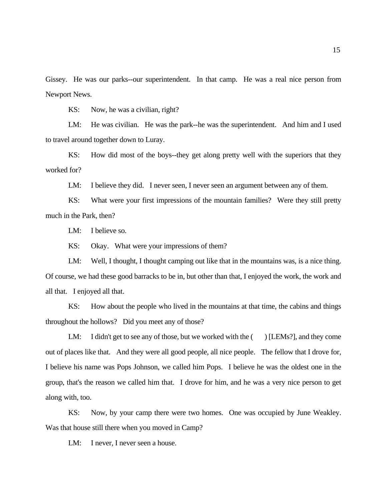Gissey. He was our parks--our superintendent. In that camp. He was a real nice person from Newport News.

KS: Now, he was a civilian, right?

LM: He was civilian. He was the park--he was the superintendent. And him and I used to travel around together down to Luray.

KS: How did most of the boys--they get along pretty well with the superiors that they worked for?

LM: I believe they did. I never seen, I never seen an argument between any of them.

KS: What were your first impressions of the mountain families? Were they still pretty much in the Park, then?

LM: I believe so.

KS: Okay. What were your impressions of them?

LM: Well, I thought, I thought camping out like that in the mountains was, is a nice thing. Of course, we had these good barracks to be in, but other than that, I enjoyed the work, the work and all that. I enjoyed all that.

KS: How about the people who lived in the mountains at that time, the cabins and things throughout the hollows? Did you meet any of those?

LM: I didn't get to see any of those, but we worked with the  $($  [LEMs?], and they come out of places like that. And they were all good people, all nice people. The fellow that I drove for, I believe his name was Pops Johnson, we called him Pops. I believe he was the oldest one in the group, that's the reason we called him that. I drove for him, and he was a very nice person to get along with, too.

KS: Now, by your camp there were two homes. One was occupied by June Weakley. Was that house still there when you moved in Camp?

LM: I never, I never seen a house.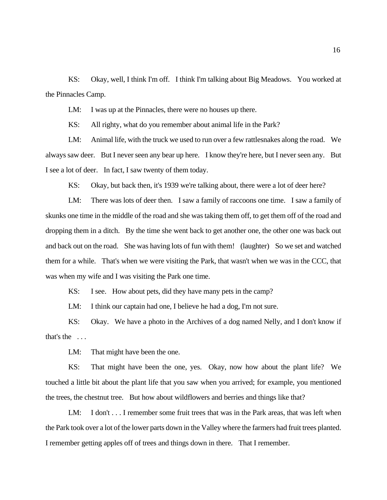KS: Okay, well, I think I'm off. I think I'm talking about Big Meadows. You worked at the Pinnacles Camp.

LM: I was up at the Pinnacles, there were no houses up there.

KS: All righty, what do you remember about animal life in the Park?

LM: Animal life, with the truck we used to run over a few rattlesnakes along the road. We always saw deer. But I never seen any bear up here. I know they're here, but I never seen any. But I see a lot of deer. In fact, I saw twenty of them today.

KS: Okay, but back then, it's 1939 we're talking about, there were a lot of deer here?

LM: There was lots of deer then. I saw a family of raccoons one time. I saw a family of skunks one time in the middle of the road and she was taking them off, to get them off of the road and dropping them in a ditch. By the time she went back to get another one, the other one was back out and back out on the road. She was having lots of fun with them! (laughter) So we set and watched them for a while. That's when we were visiting the Park, that wasn't when we was in the CCC, that was when my wife and I was visiting the Park one time.

KS: I see. How about pets, did they have many pets in the camp?

LM: I think our captain had one, I believe he had a dog, I'm not sure.

KS: Okay. We have a photo in the Archives of a dog named Nelly, and I don't know if that's the . . .

LM: That might have been the one.

KS: That might have been the one, yes. Okay, now how about the plant life? We touched a little bit about the plant life that you saw when you arrived; for example, you mentioned the trees, the chestnut tree. But how about wildflowers and berries and things like that?

LM: I don't . . . I remember some fruit trees that was in the Park areas, that was left when the Park took over a lot of the lower parts down in the Valley where the farmers had fruit trees planted. I remember getting apples off of trees and things down in there. That I remember.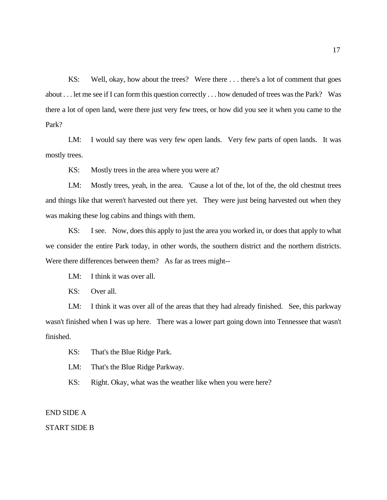KS: Well, okay, how about the trees? Were there . . . there's a lot of comment that goes about . . . let me see if I can form this question correctly . . . how denuded of trees was the Park? Was there a lot of open land, were there just very few trees, or how did you see it when you came to the Park?

LM: I would say there was very few open lands. Very few parts of open lands. It was mostly trees.

KS: Mostly trees in the area where you were at?

LM: Mostly trees, yeah, in the area. 'Cause a lot of the, lot of the, the old chestnut trees and things like that weren't harvested out there yet. They were just being harvested out when they was making these log cabins and things with them.

KS: I see. Now, does this apply to just the area you worked in, or does that apply to what we consider the entire Park today, in other words, the southern district and the northern districts. Were there differences between them? As far as trees might--

LM: I think it was over all.

KS: Over all.

LM: I think it was over all of the areas that they had already finished. See, this parkway wasn't finished when I was up here. There was a lower part going down into Tennessee that wasn't finished.

KS: That's the Blue Ridge Park.

LM: That's the Blue Ridge Parkway.

KS: Right. Okay, what was the weather like when you were here?

END SIDE A

### START SIDE B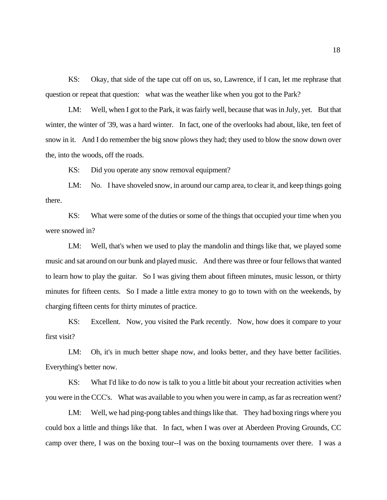KS: Okay, that side of the tape cut off on us, so, Lawrence, if I can, let me rephrase that question or repeat that question: what was the weather like when you got to the Park?

LM: Well, when I got to the Park, it was fairly well, because that was in July, yet. But that winter, the winter of '39, was a hard winter. In fact, one of the overlooks had about, like, ten feet of snow in it. And I do remember the big snow plows they had; they used to blow the snow down over the, into the woods, off the roads.

KS: Did you operate any snow removal equipment?

LM: No. I have shoveled snow, in around our camp area, to clear it, and keep things going there.

KS: What were some of the duties or some of the things that occupied your time when you were snowed in?

LM: Well, that's when we used to play the mandolin and things like that, we played some music and sat around on our bunk and played music. And there was three or four fellows that wanted to learn how to play the guitar. So I was giving them about fifteen minutes, music lesson, or thirty minutes for fifteen cents. So I made a little extra money to go to town with on the weekends, by charging fifteen cents for thirty minutes of practice.

KS: Excellent. Now, you visited the Park recently. Now, how does it compare to your first visit?

LM: Oh, it's in much better shape now, and looks better, and they have better facilities. Everything's better now.

KS: What I'd like to do now is talk to you a little bit about your recreation activities when you were in the CCC's. What was available to you when you were in camp, as far as recreation went?

LM: Well, we had ping-pong tables and things like that. They had boxing rings where you could box a little and things like that. In fact, when I was over at Aberdeen Proving Grounds, CC camp over there, I was on the boxing tour--I was on the boxing tournaments over there. I was a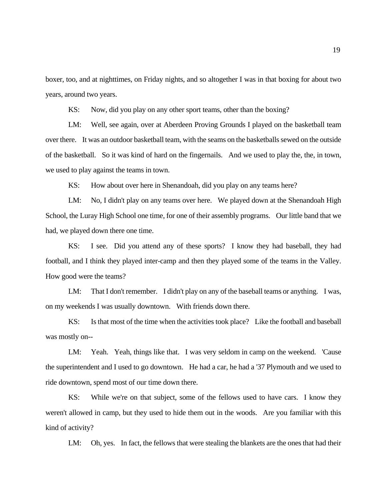boxer, too, and at nighttimes, on Friday nights, and so altogether I was in that boxing for about two years, around two years.

KS: Now, did you play on any other sport teams, other than the boxing?

LM: Well, see again, over at Aberdeen Proving Grounds I played on the basketball team over there. It was an outdoor basketball team, with the seams on the basketballs sewed on the outside of the basketball. So it was kind of hard on the fingernails. And we used to play the, the, in town, we used to play against the teams in town.

KS: How about over here in Shenandoah, did you play on any teams here?

LM: No, I didn't play on any teams over here. We played down at the Shenandoah High School, the Luray High School one time, for one of their assembly programs. Our little band that we had, we played down there one time.

KS: I see. Did you attend any of these sports? I know they had baseball, they had football, and I think they played inter-camp and then they played some of the teams in the Valley. How good were the teams?

LM: That I don't remember. I didn't play on any of the baseball teams or anything. I was, on my weekends I was usually downtown. With friends down there.

KS: Is that most of the time when the activities took place? Like the football and baseball was mostly on--

LM: Yeah. Yeah, things like that. I was very seldom in camp on the weekend. 'Cause the superintendent and I used to go downtown. He had a car, he had a '37 Plymouth and we used to ride downtown, spend most of our time down there.

KS: While we're on that subject, some of the fellows used to have cars. I know they weren't allowed in camp, but they used to hide them out in the woods. Are you familiar with this kind of activity?

LM: Oh, yes. In fact, the fellows that were stealing the blankets are the ones that had their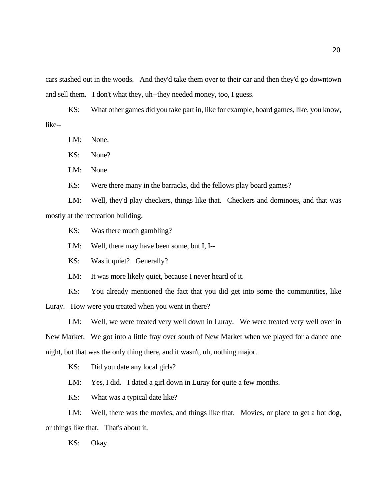cars stashed out in the woods. And they'd take them over to their car and then they'd go downtown and sell them. I don't what they, uh--they needed money, too, I guess.

KS: What other games did you take part in, like for example, board games, like, you know, like--

LM: None.

KS: None?

LM: None.

KS: Were there many in the barracks, did the fellows play board games?

LM: Well, they'd play checkers, things like that. Checkers and dominoes, and that was mostly at the recreation building.

KS: Was there much gambling?

LM: Well, there may have been some, but I, I--

KS: Was it quiet? Generally?

LM: It was more likely quiet, because I never heard of it.

KS: You already mentioned the fact that you did get into some the communities, like

Luray. How were you treated when you went in there?

LM: Well, we were treated very well down in Luray. We were treated very well over in New Market. We got into a little fray over south of New Market when we played for a dance one night, but that was the only thing there, and it wasn't, uh, nothing major.

KS: Did you date any local girls?

LM: Yes, I did. I dated a girl down in Luray for quite a few months.

KS: What was a typical date like?

LM: Well, there was the movies, and things like that. Movies, or place to get a hot dog, or things like that. That's about it.

KS: Okay.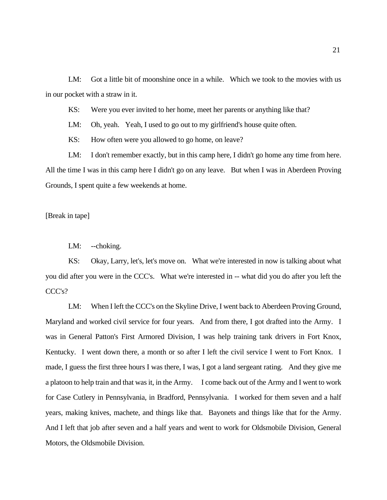LM: Got a little bit of moonshine once in a while. Which we took to the movies with us in our pocket with a straw in it.

KS: Were you ever invited to her home, meet her parents or anything like that?

LM: Oh, yeah. Yeah, I used to go out to my girlfriend's house quite often.

KS: How often were you allowed to go home, on leave?

LM: I don't remember exactly, but in this camp here, I didn't go home any time from here. All the time I was in this camp here I didn't go on any leave. But when I was in Aberdeen Proving Grounds, I spent quite a few weekends at home.

[Break in tape]

LM: --choking.

KS: Okay, Larry, let's, let's move on. What we're interested in now is talking about what you did after you were in the CCC's. What we're interested in -- what did you do after you left the CCC's?

LM: When I left the CCC's on the Skyline Drive, I went back to Aberdeen Proving Ground, Maryland and worked civil service for four years. And from there, I got drafted into the Army. I was in General Patton's First Armored Division, I was help training tank drivers in Fort Knox, Kentucky. I went down there, a month or so after I left the civil service I went to Fort Knox. I made, I guess the first three hours I was there, I was, I got a land sergeant rating. And they give me a platoon to help train and that was it, in the Army. I come back out of the Army and I went to work for Case Cutlery in Pennsylvania, in Bradford, Pennsylvania. I worked for them seven and a half years, making knives, machete, and things like that. Bayonets and things like that for the Army. And I left that job after seven and a half years and went to work for Oldsmobile Division, General Motors, the Oldsmobile Division.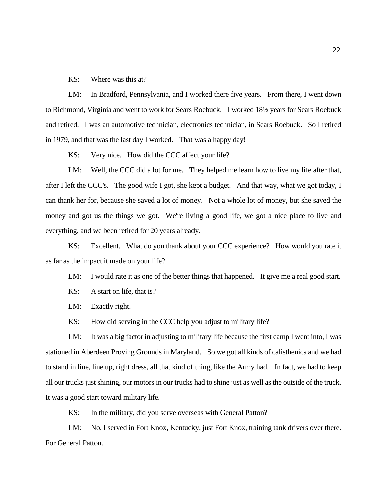#### KS: Where was this at?

LM: In Bradford, Pennsylvania, and I worked there five years. From there, I went down to Richmond, Virginia and went to work for Sears Roebuck. I worked 18½ years for Sears Roebuck and retired. I was an automotive technician, electronics technician, in Sears Roebuck. So I retired in 1979, and that was the last day I worked. That was a happy day!

KS: Very nice. How did the CCC affect your life?

LM: Well, the CCC did a lot for me. They helped me learn how to live my life after that, after I left the CCC's. The good wife I got, she kept a budget. And that way, what we got today, I can thank her for, because she saved a lot of money. Not a whole lot of money, but she saved the money and got us the things we got. We're living a good life, we got a nice place to live and everything, and we been retired for 20 years already.

KS: Excellent. What do you thank about your CCC experience? How would you rate it as far as the impact it made on your life?

LM: I would rate it as one of the better things that happened. It give me a real good start.

KS: A start on life, that is?

LM: Exactly right.

KS: How did serving in the CCC help you adjust to military life?

LM: It was a big factor in adjusting to military life because the first camp I went into, I was stationed in Aberdeen Proving Grounds in Maryland. So we got all kinds of calisthenics and we had to stand in line, line up, right dress, all that kind of thing, like the Army had. In fact, we had to keep all our trucks just shining, our motors in our trucks had to shine just as well as the outside of the truck. It was a good start toward military life.

KS: In the military, did you serve overseas with General Patton?

LM: No, I served in Fort Knox, Kentucky, just Fort Knox, training tank drivers over there. For General Patton.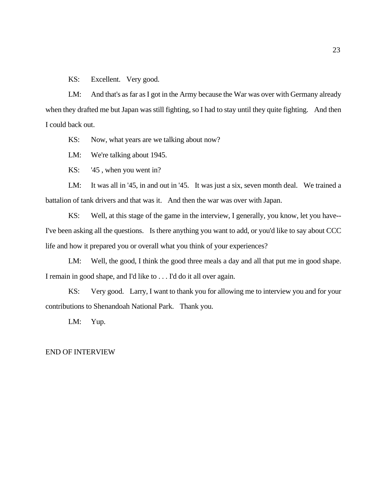KS: Excellent. Very good.

LM: And that's as far as I got in the Army because the War was over with Germany already when they drafted me but Japan was still fighting, so I had to stay until they quite fighting. And then I could back out.

KS: Now, what years are we talking about now?

LM: We're talking about 1945.

KS: '45 , when you went in?

LM: It was all in '45, in and out in '45. It was just a six, seven month deal. We trained a battalion of tank drivers and that was it. And then the war was over with Japan.

KS: Well, at this stage of the game in the interview, I generally, you know, let you have-- I've been asking all the questions. Is there anything you want to add, or you'd like to say about CCC life and how it prepared you or overall what you think of your experiences?

LM: Well, the good, I think the good three meals a day and all that put me in good shape. I remain in good shape, and I'd like to . . . I'd do it all over again.

KS: Very good. Larry, I want to thank you for allowing me to interview you and for your contributions to Shenandoah National Park. Thank you.

LM: Yup.

END OF INTERVIEW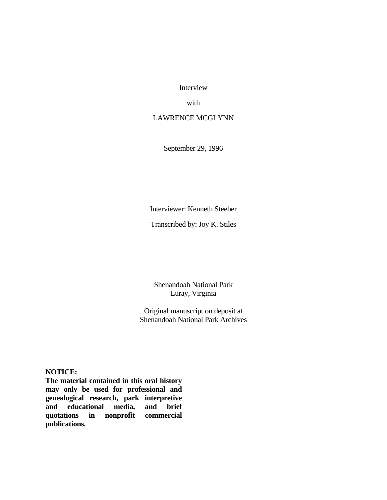Interview

with

### LAWRENCE MCGLYNN

September 29, 1996

Interviewer: Kenneth Steeber

Transcribed by: Joy K. Stiles

Shenandoah National Park Luray, Virginia

Original manuscript on deposit at Shenandoah National Park Archives

### **NOTICE:**

**The material contained in this oral history may only be used for professional and genealogical research, park interpretive**  *<u>ducational</u>* **quotations in nonprofit commercial publications.**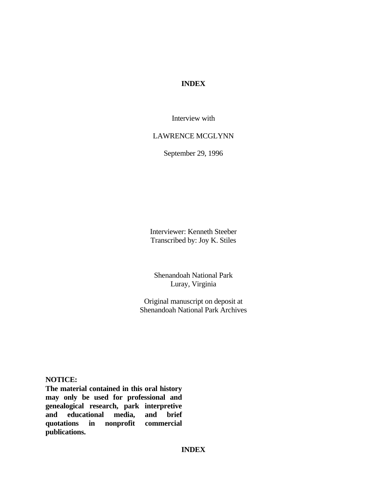# **INDEX**

Interview with

# LAWRENCE MCGLYNN

September 29, 1996

Interviewer: Kenneth Steeber Transcribed by: Joy K. Stiles

Shenandoah National Park Luray, Virginia

Original manuscript on deposit at Shenandoah National Park Archives

## **NOTICE:**

**The material contained in this oral history may only be used for professional and genealogical research, park interpretive**  and educational media, and **quotations in nonprofit commercial publications.**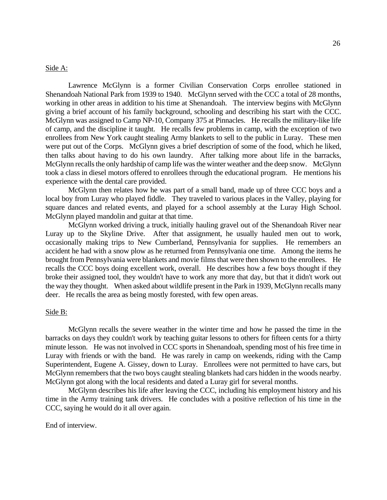#### Side A:

Lawrence McGlynn is a former Civilian Conservation Corps enrollee stationed in Shenandoah National Park from 1939 to 1940. McGlynn served with the CCC a total of 28 months, working in other areas in addition to his time at Shenandoah. The interview begins with McGlynn giving a brief account of his family background, schooling and describing his start with the CCC. McGlynn was assigned to Camp NP-10, Company 375 at Pinnacles. He recalls the military-like life of camp, and the discipline it taught. He recalls few problems in camp, with the exception of two enrollees from New York caught stealing Army blankets to sell to the public in Luray. These men were put out of the Corps. McGlynn gives a brief description of some of the food, which he liked, then talks about having to do his own laundry. After talking more about life in the barracks, McGlynn recalls the only hardship of camp life was the winter weather and the deep snow. McGlynn took a class in diesel motors offered to enrollees through the educational program. He mentions his experience with the dental care provided.

McGlynn then relates how he was part of a small band, made up of three CCC boys and a local boy from Luray who played fiddle. They traveled to various places in the Valley, playing for square dances and related events, and played for a school assembly at the Luray High School. McGlynn played mandolin and guitar at that time.

McGlynn worked driving a truck, initially hauling gravel out of the Shenandoah River near Luray up to the Skyline Drive. After that assignment, he usually hauled men out to work, occasionally making trips to New Cumberland, Pennsylvania for supplies. He remembers an accident he had with a snow plow as he returned from Pennsylvania one time. Among the items he brought from Pennsylvania were blankets and movie films that were then shown to the enrollees. He recalls the CCC boys doing excellent work, overall. He describes how a few boys thought if they broke their assigned tool, they wouldn't have to work any more that day, but that it didn't work out the way they thought. When asked about wildlife present in the Park in 1939, McGlynn recalls many deer. He recalls the area as being mostly forested, with few open areas.

### Side B:

McGlynn recalls the severe weather in the winter time and how he passed the time in the barracks on days they couldn't work by teaching guitar lessons to others for fifteen cents for a thirty minute lesson. He was not involved in CCC sports in Shenandoah, spending most of his free time in Luray with friends or with the band. He was rarely in camp on weekends, riding with the Camp Superintendent, Eugene A. Gissey, down to Luray. Enrollees were not permitted to have cars, but McGlynn remembers that the two boys caught stealing blankets had cars hidden in the woods nearby. McGlynn got along with the local residents and dated a Luray girl for several months.

McGlynn describes his life after leaving the CCC, including his employment history and his time in the Army training tank drivers. He concludes with a positive reflection of his time in the CCC, saying he would do it all over again.

End of interview.